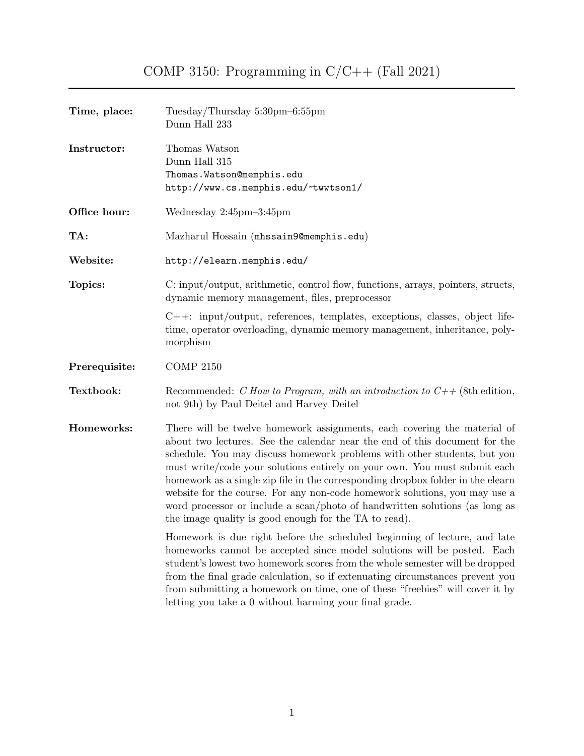| Time, place:  | Tuesday/Thursday 5:30pm-6:55pm<br>Dunn Hall 233                                                                                                                                                                                                                                                                                                                                                                                                                                                                                                                                                                          |  |  |
|---------------|--------------------------------------------------------------------------------------------------------------------------------------------------------------------------------------------------------------------------------------------------------------------------------------------------------------------------------------------------------------------------------------------------------------------------------------------------------------------------------------------------------------------------------------------------------------------------------------------------------------------------|--|--|
| Instructor:   | Thomas Watson<br>Dunn Hall 315<br>Thomas. Watson@memphis.edu<br>http://www.cs.memphis.edu/~twwtson1/                                                                                                                                                                                                                                                                                                                                                                                                                                                                                                                     |  |  |
| Office hour:  | Wednesday 2:45pm-3:45pm                                                                                                                                                                                                                                                                                                                                                                                                                                                                                                                                                                                                  |  |  |
| TA:           | Mazharul Hossain (mhssain9@memphis.edu)                                                                                                                                                                                                                                                                                                                                                                                                                                                                                                                                                                                  |  |  |
| Website:      | http://elearn.memphis.edu/                                                                                                                                                                                                                                                                                                                                                                                                                                                                                                                                                                                               |  |  |
| Topics:       | C: input/output, arithmetic, control flow, functions, arrays, pointers, structs,<br>dynamic memory management, files, preprocessor                                                                                                                                                                                                                                                                                                                                                                                                                                                                                       |  |  |
|               | $C++:$ input/output, references, templates, exceptions, classes, object life-<br>time, operator overloading, dynamic memory management, inheritance, poly-<br>morphism                                                                                                                                                                                                                                                                                                                                                                                                                                                   |  |  |
| Prerequisite: | <b>COMP 2150</b>                                                                                                                                                                                                                                                                                                                                                                                                                                                                                                                                                                                                         |  |  |
| Textbook:     | Recommended: C How to Program, with an introduction to $C++$ (8th edition,<br>not 9th) by Paul Deitel and Harvey Deitel                                                                                                                                                                                                                                                                                                                                                                                                                                                                                                  |  |  |
| Homeworks:    | There will be twelve homework assignments, each covering the material of<br>about two lectures. See the calendar near the end of this document for the<br>schedule. You may discuss homework problems with other students, but you<br>must write/code your solutions entirely on your own. You must submit each<br>homework as a single zip file in the corresponding dropbox folder in the elearn<br>website for the course. For any non-code homework solutions, you may use a<br>word processor or include a scan/photo of handwritten solutions (as long as<br>the image quality is good enough for the TA to read). |  |  |
|               | Homework is due right before the scheduled beginning of lecture, and late<br>homeworks cannot be accepted since model solutions will be posted. Each<br>student's lowest two homework scores from the whole semester will be dropped<br>from the final grade calculation, so if extenuating circumstances prevent you<br>from submitting a homework on time, one of these "freebies" will cover it by<br>letting you take a 0 without harming your final grade.                                                                                                                                                          |  |  |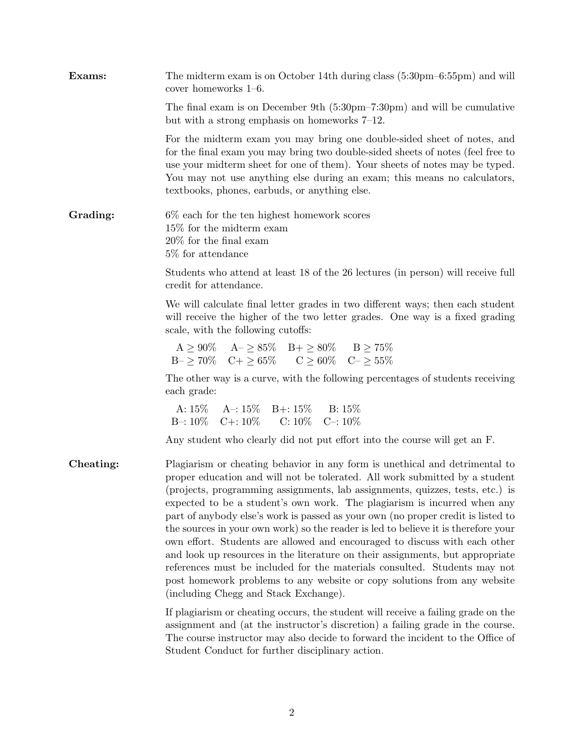| Exams:    | The midterm exam is on October 14th during class $(5:30 \text{pm}-6:55 \text{pm})$ and will<br>cover homeworks $1-6$ .                                                                                                                                                                                                                                                                                                                                                                                                                                                                                                                                                                                                                                                                                                                                             |  |  |  |
|-----------|--------------------------------------------------------------------------------------------------------------------------------------------------------------------------------------------------------------------------------------------------------------------------------------------------------------------------------------------------------------------------------------------------------------------------------------------------------------------------------------------------------------------------------------------------------------------------------------------------------------------------------------------------------------------------------------------------------------------------------------------------------------------------------------------------------------------------------------------------------------------|--|--|--|
|           | The final exam is on December 9th $(5:30 \text{pm} - 7:30 \text{pm})$ and will be cumulative<br>but with a strong emphasis on homeworks $7-12$ .                                                                                                                                                                                                                                                                                                                                                                                                                                                                                                                                                                                                                                                                                                                   |  |  |  |
|           | For the midterm exam you may bring one double-sided sheet of notes, and<br>for the final exam you may bring two double-sided sheets of notes (feel free to<br>use your midterm sheet for one of them). Your sheets of notes may be typed.<br>You may not use anything else during an exam; this means no calculators,<br>textbooks, phones, earbuds, or anything else.                                                                                                                                                                                                                                                                                                                                                                                                                                                                                             |  |  |  |
| Grading:  | $6\%$ each for the ten highest homework scores<br>15% for the midterm exam<br>$20\%$ for the final exam<br>5\% for attendance                                                                                                                                                                                                                                                                                                                                                                                                                                                                                                                                                                                                                                                                                                                                      |  |  |  |
|           | Students who attend at least 18 of the 26 lectures (in person) will receive full<br>credit for attendance.                                                                                                                                                                                                                                                                                                                                                                                                                                                                                                                                                                                                                                                                                                                                                         |  |  |  |
|           | We will calculate final letter grades in two different ways; then each student<br>will receive the higher of the two letter grades. One way is a fixed grading<br>scale, with the following cutoffs:                                                                                                                                                                                                                                                                                                                                                                                                                                                                                                                                                                                                                                                               |  |  |  |
|           | $A\geq 90\% \hspace{0.5cm} A-\geq 85\% \hspace{0.5cm} B+\geq 80\% \hspace{0.5cm} B\geq 75\%$<br>$B - \geq 70\%$ $C + \geq 65\%$ $C \geq 60\%$ $C - \geq 55\%$                                                                                                                                                                                                                                                                                                                                                                                                                                                                                                                                                                                                                                                                                                      |  |  |  |
|           | The other way is a curve, with the following percentages of students receiving<br>each grade:                                                                                                                                                                                                                                                                                                                                                                                                                                                                                                                                                                                                                                                                                                                                                                      |  |  |  |
|           | A: $15\%$ A -: $15\%$ B +: $15\%$ B: $15\%$<br>B-: $10\%$ C+: $10\%$ C: $10\%$ C-: $10\%$                                                                                                                                                                                                                                                                                                                                                                                                                                                                                                                                                                                                                                                                                                                                                                          |  |  |  |
|           | Any student who clearly did not put effort into the course will get an F.                                                                                                                                                                                                                                                                                                                                                                                                                                                                                                                                                                                                                                                                                                                                                                                          |  |  |  |
| Cheating: | Plagiarism or cheating behavior in any form is unethical and detrimental to<br>proper education and will not be tolerated. All work submitted by a student<br>(projects, programming assignments, lab assignments, quizzes, tests, etc.) is<br>expected to be a student's own work. The plagiarism is incurred when any<br>part of anybody else's work is passed as your own (no proper credit is listed to<br>the sources in your own work) so the reader is led to believe it is therefore your<br>own effort. Students are allowed and encouraged to discuss with each other<br>and look up resources in the literature on their assignments, but appropriate<br>references must be included for the materials consulted. Students may not<br>post homework problems to any website or copy solutions from any website<br>(including Chegg and Stack Exchange). |  |  |  |
|           | If plagiarism or cheating occurs, the student will receive a failing grade on the<br>assignment and (at the instructor's discretion) a failing grade in the course.<br>The course instructor may also decide to forward the incident to the Office of<br>Student Conduct for further disciplinary action.                                                                                                                                                                                                                                                                                                                                                                                                                                                                                                                                                          |  |  |  |